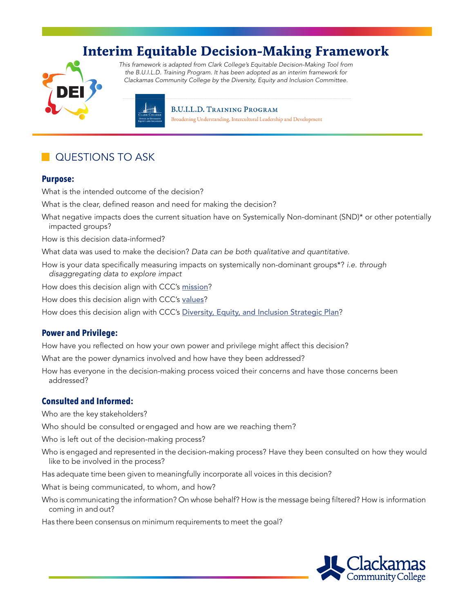# **Interim Equitable Decision-Making Framework**



*This* framework *is adapted from Clark College's Equitable Decision-Making Tool from the B.U.I.L.D. Training Program. It has been adopted as an interim framework for Clackamas Community College by the Diversity, Equity and Inclusion Committee.*

> **B.U.I.L.D. TRAINING PROGRAM** Broadening Understanding, Intercultural Leadership and Development

# QUESTIONS TO ASK

#### **Purpose:**

What is the intended outcome of the decision?

What is the clear, defined reason and need for making the decision?

What negative impacts does the current situation have on Systemically Non-dominant (SND)\* or other potentially impacted groups?

How is this decision data-informed?

What data was used to make the decision? *Data can be both qualitative and quantitative.* 

How is your data specifcally measuring impacts on systemically non-dominant groups\*? *i.e. through disaggregating data to explore impact* 

How does this decision align with CCC's [mission](https://www.clackamas.edu/about-us/vision-initatives/ccc-purpose-mission-core-themes-and-code-of-ethics)?

How does this decision align with CCC's [values](https://www.clackamas.edu/docs/default-source/about-us/vision-initiatives/dei-strategic-plan-values-and-strategic-themes.pdf)?

How does this decision align with CCC's [Diversity, Equity, and Inclusion Strategic Plan](https://www.clackamas.edu/docs/default-source/about-us/vision-initiatives/dei-strategic-plan.pdf)?

#### **Power and Privilege:**

How have you refected on how your own power and privilege might affect this decision?

What are the power dynamics involved and how have they been addressed?

How has everyone in the decision-making process voiced their concerns and have those concerns been addressed?

## **Consulted and Informed:**

Who are the key stakeholders?

Who should be consulted or engaged and how are we reaching them?

Who is left out of the decision-making process?

Who is engaged and represented in the decision-making process? Have they been consulted on how they would like to be involved in the process?

Has adequate time been given to meaningfully incorporate all voices in this decision?

What is being communicated, to whom, and how?

Who is communicating the information? On whose behalf? How is the message being fltered? How is information coming in and out?

Has there been consensus on minimum requirements to meet the goal?

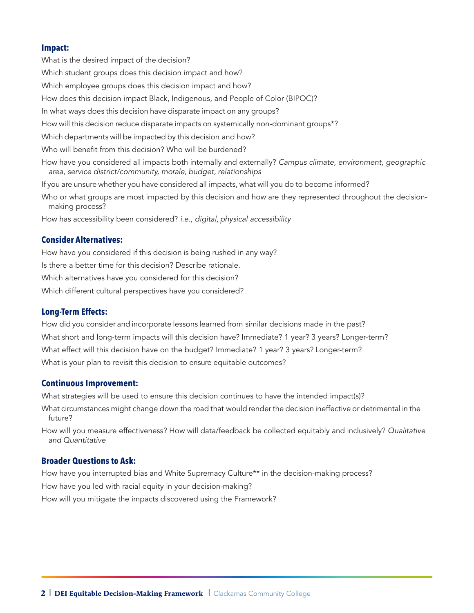#### **Impact:**

What is the desired impact of the decision? Which student groups does this decision impact and how? Which employee groups does this decision impact and how? How does this decision impact Black, Indigenous, and People of Color (BIPOC)? In what ways does this decision have disparate impact on any groups? How will this decision reduce disparate impacts on systemically non-dominant groups\*? Which departments will be impacted by this decision and how? Who will benefit from this decision? Who will be burdened? How have you considered all impacts both internally and externally? *Campus climate, environment, geographic area, service district/community, morale, budget, relationships*  If you are unsure whether you have considered all impacts, what will you do to become informed? Who or what groups are most impacted by this decision and how are they represented throughout the decisionmaking process? How has accessibility been considered? *i.e., digital, physical accessibility* 

# **Consider Alternatives:**

How have you considered if this decision is being rushed in any way? Is there a better time for this decision? Describe rationale. Which alternatives have you considered for this decision? Which different cultural perspectives have you considered?

#### **Long-Term Effects:**

How did you consider and incorporate lessons learned from similar decisions made in the past? What short and long-term impacts will this decision have? Immediate? 1 year? 3 years? Longer-term? What effect will this decision have on the budget? Immediate? 1 year? 3 years? Longer-term? What is your plan to revisit this decision to ensure equitable outcomes?

#### **Continuous Improvement:**

What strategies will be used to ensure this decision continues to have the intended impact(s)?

What circumstances might change down the road that would render the decision ineffective or detrimental in the future?

How will you measure effectiveness? How will data/feedback be collected equitably and inclusively? *Qualitative and Quantitative* 

## **Broader Questions to Ask:**

How have you interrupted bias and White Supremacy Culture\*\* in the decision-making process? How have you led with racial equity in your decision-making? How will you mitigate the impacts discovered using the Framework?